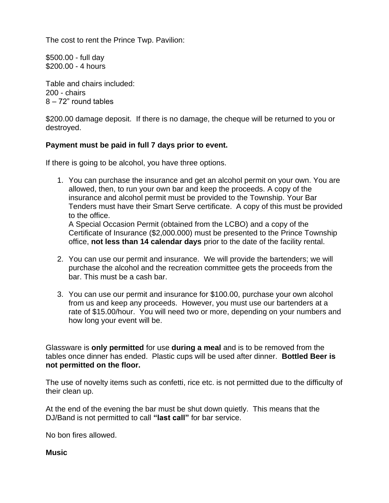The cost to rent the Prince Twp. Pavilion:

\$500.00 - full day \$200.00 - 4 hours

Table and chairs included: 200 - chairs 8 – 72" round tables

\$200.00 damage deposit. If there is no damage, the cheque will be returned to you or destroyed.

## **Payment must be paid in full 7 days prior to event.**

If there is going to be alcohol, you have three options.

1. You can purchase the insurance and get an alcohol permit on your own. You are allowed, then, to run your own bar and keep the proceeds. A copy of the insurance and alcohol permit must be provided to the Township. Your Bar Tenders must have their Smart Serve certificate. A copy of this must be provided to the office. A Special Occasion Permit (obtained from the LCBO) and a copy of the

Certificate of Insurance (\$2,000.000) must be presented to the Prince Township office, **not less than 14 calendar days** prior to the date of the facility rental.

- 2. You can use our permit and insurance. We will provide the bartenders; we will purchase the alcohol and the recreation committee gets the proceeds from the bar. This must be a cash bar.
- 3. You can use our permit and insurance for \$100.00, purchase your own alcohol from us and keep any proceeds. However, you must use our bartenders at a rate of \$15.00/hour. You will need two or more, depending on your numbers and how long your event will be.

Glassware is **only permitted** for use **during a meal** and is to be removed from the tables once dinner has ended. Plastic cups will be used after dinner. **Bottled Beer is not permitted on the floor.**

The use of novelty items such as confetti, rice etc. is not permitted due to the difficulty of their clean up.

At the end of the evening the bar must be shut down quietly. This means that the DJ/Band is not permitted to call **"last call"** for bar service.

No bon fires allowed.

## **Music**